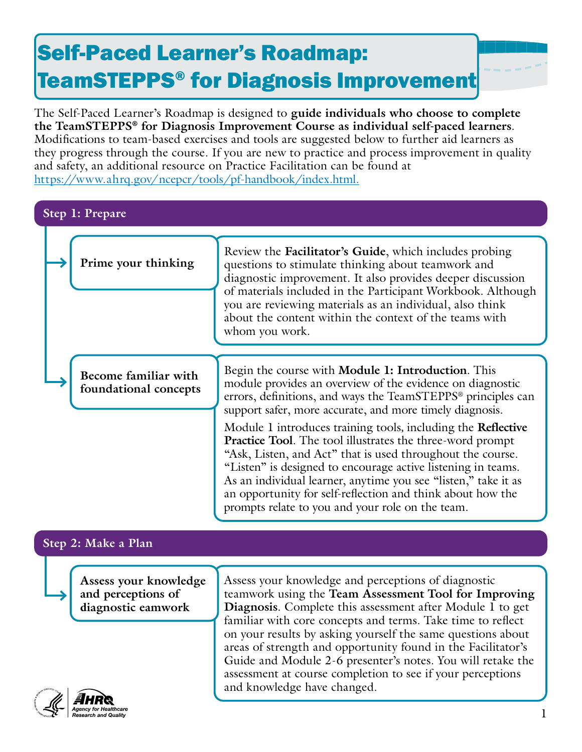# Self-Paced Learner's Roadmap: TeamSTEPPS® for Diagnosis Improvement

The Self-Paced Learner's Roadmap is designed to **guide individuals who choose to complete the TeamSTEPPS® for Diagnosis Improvement Course as individual self-paced learners**. Modifications to team-based exercises and tools are suggested below to further aid learners as they progress through the course. If you are new to practice and process improvement in quality and safety, an additional resource on Practice Facilitation can be found at [https://www.ahrq.gov/ncepcr/tools/pf-handbook/index.html.](https://www.ahrq.gov/ncepcr/tools/pf-handbook/index.html)

# **Step 1: Prepare**

| Prime your thinking                           | Review the Facilitator's Guide, which includes probing<br>questions to stimulate thinking about teamwork and<br>diagnostic improvement. It also provides deeper discussion<br>of materials included in the Participant Workbook. Although<br>you are reviewing materials as an individual, also think<br>about the content within the context of the teams with<br>whom you work.                                                                         |
|-----------------------------------------------|-----------------------------------------------------------------------------------------------------------------------------------------------------------------------------------------------------------------------------------------------------------------------------------------------------------------------------------------------------------------------------------------------------------------------------------------------------------|
| Become familiar with<br>foundational concepts | Begin the course with Module 1: Introduction. This<br>module provides an overview of the evidence on diagnostic<br>errors, definitions, and ways the TeamSTEPPS® principles can<br>support safer, more accurate, and more timely diagnosis.                                                                                                                                                                                                               |
|                                               | Module 1 introduces training tools, including the <b>Reflective</b><br><b>Practice Tool.</b> The tool illustrates the three-word prompt<br>"Ask, Listen, and Act" that is used throughout the course.<br>"Listen" is designed to encourage active listening in teams.<br>As an individual learner, anytime you see "listen," take it as<br>an opportunity for self-reflection and think about how the<br>prompts relate to you and your role on the team. |
| Sten $2:$ Make a Plan                         |                                                                                                                                                                                                                                                                                                                                                                                                                                                           |

# **Step 2: Make a Plan**

**Assess your knowledge and perceptions of diagnostic eamwork** 

Assess your knowledge and perceptions of diagnostic teamwork using the **Team Assessment Tool for Improving Diagnosis**. Complete this assessment after Module 1 to get familiar with core concepts and terms. Take time to reflect on your results by asking yourself the same questions about areas of strength and opportunity found in the Facilitator's Guide and Module 2-6 presenter's notes. You will retake the assessment at course completion to see if your perceptions and knowledge have changed.

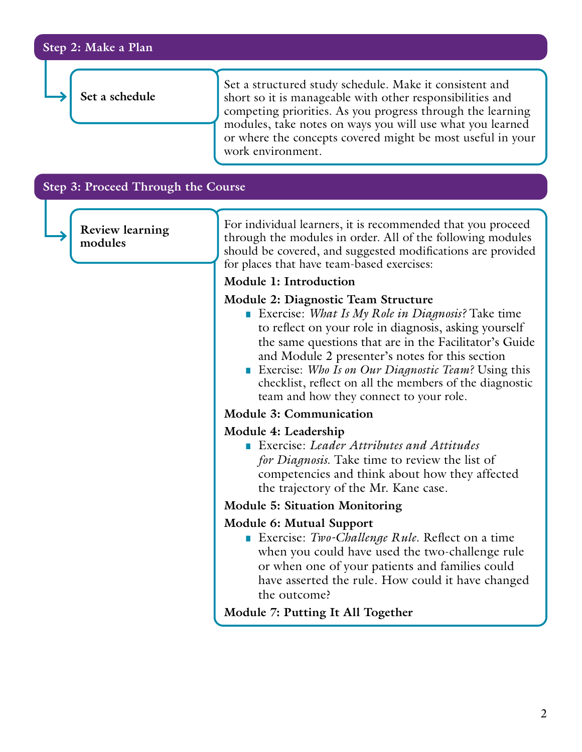|  |  |  | Step 2: Make a Plan |
|--|--|--|---------------------|
|--|--|--|---------------------|

**Set a schedule**

Set a structured study schedule. Make it consistent and short so it is manageable with other responsibilities and competing priorities. As you progress through the learning modules, take notes on ways you will use what you learned or where the concepts covered might be most useful in your work environment.

#### **Step 3: Proceed Through the Course**

**Review learning modules**

For individual learners, it is recommended that you proceed through the modules in order. All of the following modules should be covered, and suggested modifications are provided for places that have team-based exercises:

### **Module 1: Introduction**

## **Module 2: Diagnostic Team Structure**

- Exercise: *What Is My Role in Diagnosis*? Take time to reflect on your role in diagnosis, asking yourself the same questions that are in the Facilitator's Guide and Module 2 presenter's notes for this section
- Exercise: *Who Is on Our Diagnostic Team*? Using this checklist, reflect on all the members of the diagnostic team and how they connect to your role.

### **Module 3: Communication**

#### **Module 4: Leadership**

■ Exercise: *Leader Attributes and Attitudes for Diagnosis*. Take time to review the list of competencies and think about how they affected the trajectory of the Mr. Kane case.

#### **Module 5: Situation Monitoring**

#### **Module 6: Mutual Support**

■ Exercise: *Two-Challenge Rule*. Reflect on a time when you could have used the two-challenge rule or when one of your patients and families could have asserted the rule. How could it have changed the outcome?

**Module 7: Putting It All Together**